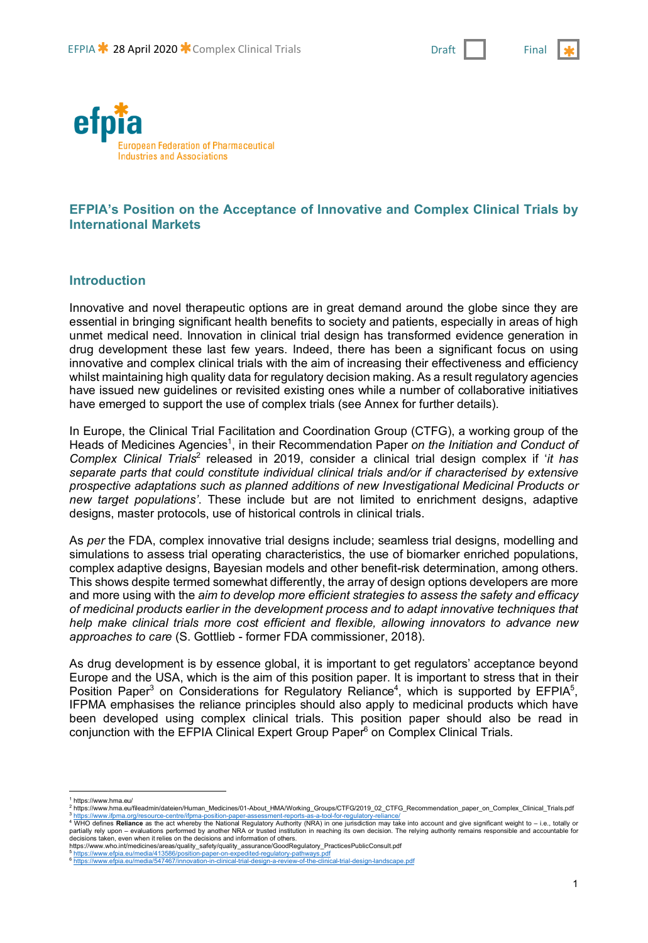



# **EFPIA's Position on the Acceptance of Innovative and Complex Clinical Trials by International Markets**

#### **Introduction**

Innovative and novel therapeutic options are in great demand around the globe since they are essential in bringing significant health benefits to society and patients, especially in areas of high unmet medical need. Innovation in clinical trial design has transformed evidence generation in drug development these last few years. Indeed, there has been a significant focus on using innovative and complex clinical trials with the aim of increasing their effectiveness and efficiency whilst maintaining high quality data for regulatory decision making. As a result regulatory agencies have issued new guidelines or revisited existing ones while a number of collaborative initiatives have emerged to support the use of complex trials (see Annex for further details).

In Europe, the Clinical Trial Facilitation and Coordination Group (CTFG), a working group of the Heads of Medicines Agencies<sup>1</sup>, in their Recommendation Paper on the Initiation and Conduct of *Complex Clinical Trials*<sup>2</sup> released in 2019, consider a clinical trial design complex if '*it has separate parts that could constitute individual clinical trials and/or if characterised by extensive prospective adaptations such as planned additions of new Investigational Medicinal Products or new target populations'*. These include but are not limited to enrichment designs, adaptive designs, master protocols, use of historical controls in clinical trials.

As *per* the FDA, complex innovative trial designs include; seamless trial designs, modelling and simulations to assess trial operating characteristics, the use of biomarker enriched populations, complex adaptive designs, Bayesian models and other benefit-risk determination, among others. This shows despite termed somewhat differently, the array of design options developers are more and more using with the *aim to develop more efficient strategies to assess the safety and efficacy of medicinal products earlier in the development process and to adapt innovative techniques that help make clinical trials more cost efficient and flexible, allowing innovators to advance new approaches to care* (S. Gottlieb - former FDA commissioner, 2018).

As drug development is by essence global, it is important to get regulators' acceptance beyond Europe and the USA, which is the aim of this position paper. It is important to stress that in their Position Paper<sup>3</sup> on Considerations for Regulatory Reliance<sup>4</sup>, which is supported by EFPIA<sup>5</sup>, IFPMA emphasises the reliance principles should also apply to medicinal products which have been developed using complex clinical trials. This position paper should also be read in conjunction with the EFPIA Clinical Expert Group Paper<sup>6</sup> on Complex Clinical Trials.

 $\overline{a}$ <sup>1</sup> https://www.hma.eu/

<sup>2</sup> https://www.hma.eu/fileadmin/dateien/Human\_Medicines/01-About\_HMA/Working\_Groups/CTFG/2019\_02\_CTFG\_Recommendation\_paper\_on\_Complex\_Clinical\_Trials.pdf

a https://www.iforma.org/resource-centre/iforma-position-paper-assessment-reports-as-a-tool-for-regulatory-reliance/<br>4 WHO defines Reliance as the act whereby the National Regulatory Authority (NRA) in one jurisdiction may partially rely upon – evaluations performed by another NRA or trusted institution in reaching its own decision. The relying authority remains responsible and accountable for<br>decisions taken, even when it relies on the deci

https://www.who.int/medicines/areas/quality\_safety/quality\_assurance/GoodRegulatory\_PracticesPublicConsult.pdf

<sup>5</sup> https://www.efpia.eu/media/413586/position-paper-on-expedited-regulatory-pathways.pdf<br><sup>6</sup> https://www.efpia.eu/media/547467/innovation-in-clinical-trial-design-a-review-of-the-clinical-trial-design-landscape.pdf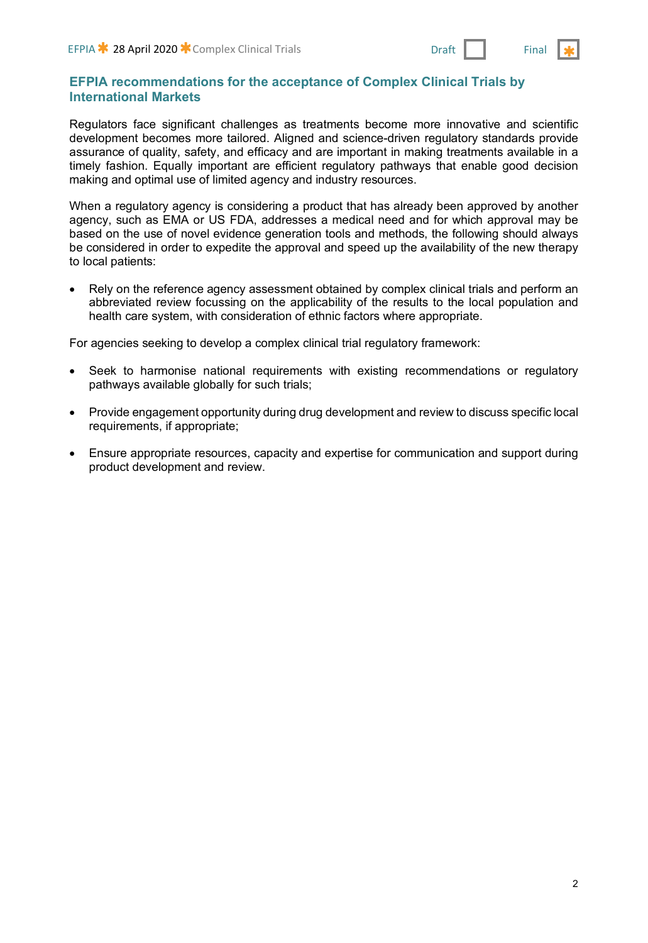## **EFPIA recommendations for the acceptance of Complex Clinical Trials by International Markets**

Regulators face significant challenges as treatments become more innovative and scientific development becomes more tailored. Aligned and science-driven regulatory standards provide assurance of quality, safety, and efficacy and are important in making treatments available in a timely fashion. Equally important are efficient regulatory pathways that enable good decision making and optimal use of limited agency and industry resources.

When a regulatory agency is considering a product that has already been approved by another agency, such as EMA or US FDA, addresses a medical need and for which approval may be based on the use of novel evidence generation tools and methods, the following should always be considered in order to expedite the approval and speed up the availability of the new therapy to local patients:

• Rely on the reference agency assessment obtained by complex clinical trials and perform an abbreviated review focussing on the applicability of the results to the local population and health care system, with consideration of ethnic factors where appropriate.

For agencies seeking to develop a complex clinical trial regulatory framework:

- Seek to harmonise national requirements with existing recommendations or regulatory pathways available globally for such trials;
- Provide engagement opportunity during drug development and review to discuss specific local requirements, if appropriate;
- Ensure appropriate resources, capacity and expertise for communication and support during product development and review.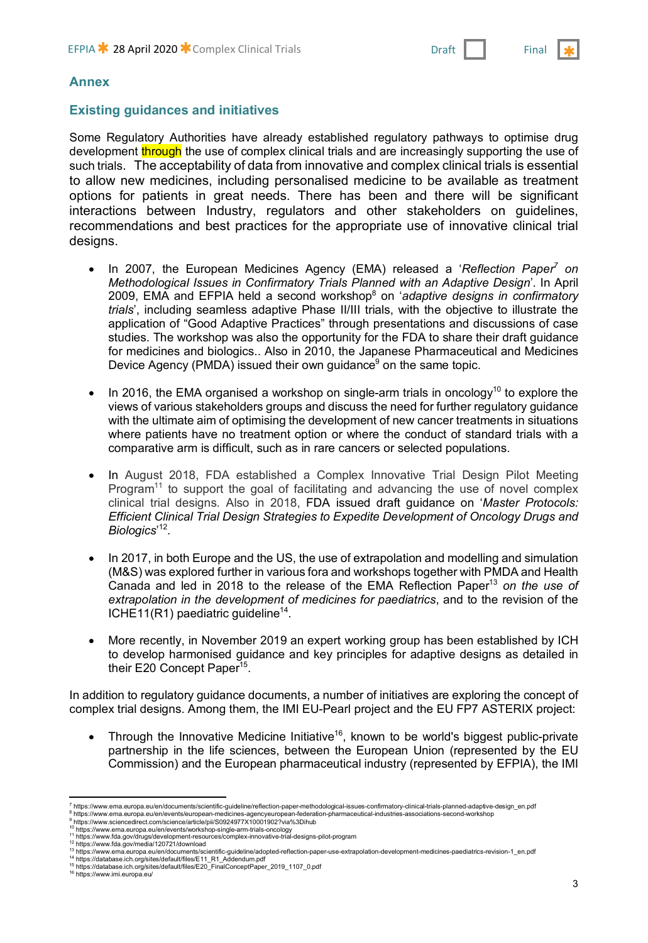

#### **Annex**

## **Existing guidances and initiatives**

Some Regulatory Authorities have already established regulatory pathways to optimise drug development through the use of complex clinical trials and are increasingly supporting the use of such trials. The acceptability of data from innovative and complex clinical trials is essential to allow new medicines, including personalised medicine to be available as treatment options for patients in great needs. There has been and there will be significant interactions between Industry, regulators and other stakeholders on guidelines, recommendations and best practices for the appropriate use of innovative clinical trial designs.

- In 2007, the European Medicines Agency (EMA) released a '*Reflection Paper<sup>7</sup> on Methodological Issues in Confirmatory Trials Planned with an Adaptive Design*'. In April 2009, EMA and EFPIA held a second workshop8 on '*adaptive designs in confirmatory trials*', including seamless adaptive Phase II/III trials, with the objective to illustrate the application of "Good Adaptive Practices" through presentations and discussions of case studies. The workshop was also the opportunity for the FDA to share their draft guidance for medicines and biologics.. Also in 2010, the Japanese Pharmaceutical and Medicines Device Agency (PMDA) issued their own guidance $9$  on the same topic.
- In 2016, the EMA organised a workshop on single-arm trials in oncology<sup>10</sup> to explore the views of various stakeholders groups and discuss the need for further regulatory guidance with the ultimate aim of optimising the development of new cancer treatments in situations where patients have no treatment option or where the conduct of standard trials with a comparative arm is difficult, such as in rare cancers or selected populations.
- In August 2018, FDA established a Complex Innovative Trial Design Pilot Meeting Program<sup>11</sup> to support the goal of facilitating and advancing the use of novel complex clinical trial designs. Also in 2018, FDA issued draft guidance on '*Master Protocols: Efficient Clinical Trial Design Strategies to Expedite Development of Oncology Drugs and Biologics*' 12.
- In 2017, in both Europe and the US, the use of extrapolation and modelling and simulation (M&S) was explored further in various fora and workshops together with PMDA and Health Canada and led in 2018 to the release of the EMA Reflection Paper<sup>13</sup> on the use of *extrapolation in the development of medicines for paediatrics*, and to the revision of the ICHE11(R1) paediatric guideline<sup>14</sup>.
- More recently, in November 2019 an expert working group has been established by ICH to develop harmonised guidance and key principles for adaptive designs as detailed in their E20 Concept Paper<sup>15</sup>.

In addition to regulatory guidance documents, a number of initiatives are exploring the concept of complex trial designs. Among them, the IMI EU-Pearl project and the EU FP7 ASTERIX project:

• Through the Innovative Medicine Initiative<sup>16</sup>, known to be world's biggest public-private partnership in the life sciences, between the European Union (represented by the EU Commission) and the European pharmaceutical industry (represented by EFPIA), the IMI

 $\overline{\phantom{a}}$ <sup>7</sup> https://www.ema.europa.eu/en/documents/scientific-guideline/reflection-paper-methodological-issues-confirmatory-clinical-trials-planned-adaptive-design\_en.pdf

<sup>&</sup>lt;sup>8</sup> https://www.ema.europa.eu/en/events/european-medicines-agencyeuropean-federation-pharmaceutical-industries-associations-second-workshop<br><sup>9</sup> https://www.sciencedirect.com/science/article/pii/S0924977X10001902?via%3Dihub

<sup>10</sup> https://www.ema.europa.eu/en/events/workshop-single-arm-trials-oncology<br>11 https://www.fda.gov/drugs/development-resources/complex-innovative-trial-designs-pilot-program

<sup>&</sup>lt;sup>12</sup> https://www.fda.gov/media/120721/download<br><sup>13</sup> https://www.ema.europa.eu/en/documents/scientific-guideline/adopted-reflection-paper-use-extrapolation-development-medicines-paediatrics-revision-1\_en.pdf

<sup>14</sup> https://database.ich.org/sites/default/files/E11\_R1\_Addendum.pdf <sup>15</sup> https://database.ich.org/sites/default/files/E20\_FinalConceptPaper\_2019\_1107\_0.pdf

<sup>16</sup> https://www.imi.europa.eu/